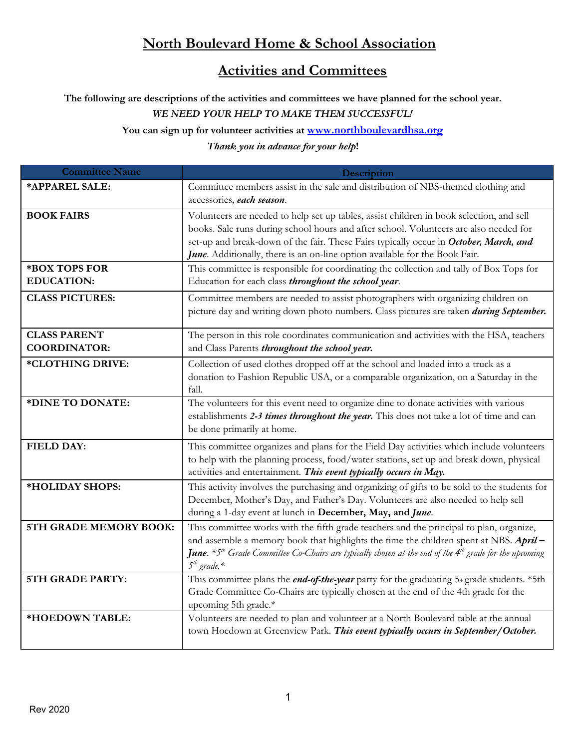## **North Boulevard Home & School Association**

## **Activities and Committees**

**The following are descriptions of the activities and committees we have planned for the school year.**

## *WE NEED YOUR HELP TO MAKE THEM SUCCESSFUL!*

**You can sign up for volunteer activities at [www.northboulevardhsa.org](http://www.northboulevardhsa.org/)**

## *Thank you in advance for your help***!**

| <b>Committee Name</b>                      | Description                                                                                                                                                                                                                                                                                                                                               |
|--------------------------------------------|-----------------------------------------------------------------------------------------------------------------------------------------------------------------------------------------------------------------------------------------------------------------------------------------------------------------------------------------------------------|
| *APPAREL SALE:                             | Committee members assist in the sale and distribution of NBS-themed clothing and<br>accessories, each season.                                                                                                                                                                                                                                             |
| <b>BOOK FAIRS</b>                          | Volunteers are needed to help set up tables, assist children in book selection, and sell<br>books. Sale runs during school hours and after school. Volunteers are also needed for<br>set-up and break-down of the fair. These Fairs typically occur in October, March, and<br>June. Additionally, there is an on-line option available for the Book Fair. |
| *BOX TOPS FOR<br><b>EDUCATION:</b>         | This committee is responsible for coordinating the collection and tally of Box Tops for<br>Education for each class throughout the school year.                                                                                                                                                                                                           |
| <b>CLASS PICTURES:</b>                     | Committee members are needed to assist photographers with organizing children on<br>picture day and writing down photo numbers. Class pictures are taken during September.                                                                                                                                                                                |
| <b>CLASS PARENT</b><br><b>COORDINATOR:</b> | The person in this role coordinates communication and activities with the HSA, teachers<br>and Class Parents throughout the school year.                                                                                                                                                                                                                  |
| *CLOTHING DRIVE:                           | Collection of used clothes dropped off at the school and loaded into a truck as a<br>donation to Fashion Republic USA, or a comparable organization, on a Saturday in the<br>fall.                                                                                                                                                                        |
| *DINE TO DONATE:                           | The volunteers for this event need to organize dine to donate activities with various<br>establishments 2-3 times throughout the year. This does not take a lot of time and can<br>be done primarily at home.                                                                                                                                             |
| <b>FIELD DAY:</b>                          | This committee organizes and plans for the Field Day activities which include volunteers<br>to help with the planning process, food/water stations, set up and break down, physical<br>activities and entertainment. This event typically occurs in May.                                                                                                  |
| *HOLIDAY SHOPS:                            | This activity involves the purchasing and organizing of gifts to be sold to the students for<br>December, Mother's Day, and Father's Day. Volunteers are also needed to help sell<br>during a 1-day event at lunch in December, May, and June.                                                                                                            |
| 5TH GRADE MEMORY BOOK:                     | This committee works with the fifth grade teachers and the principal to plan, organize,<br>and assemble a memory book that highlights the time the children spent at NBS. April -<br><b>June.</b> $*5th$ Grade Committee Co-Chairs are typically chosen at the end of the 4 <sup>th</sup> grade for the upcoming<br>$5th$ grade.*                         |
| <b>5TH GRADE PARTY:</b>                    | This committee plans the <b>end-of-the-year</b> party for the graduating 5th grade students. *5th<br>Grade Committee Co-Chairs are typically chosen at the end of the 4th grade for the<br>upcoming 5th grade.*                                                                                                                                           |
| *HOEDOWN TABLE:                            | Volunteers are needed to plan and volunteer at a North Boulevard table at the annual<br>town Hoedown at Greenview Park. This event typically occurs in September/October.                                                                                                                                                                                 |